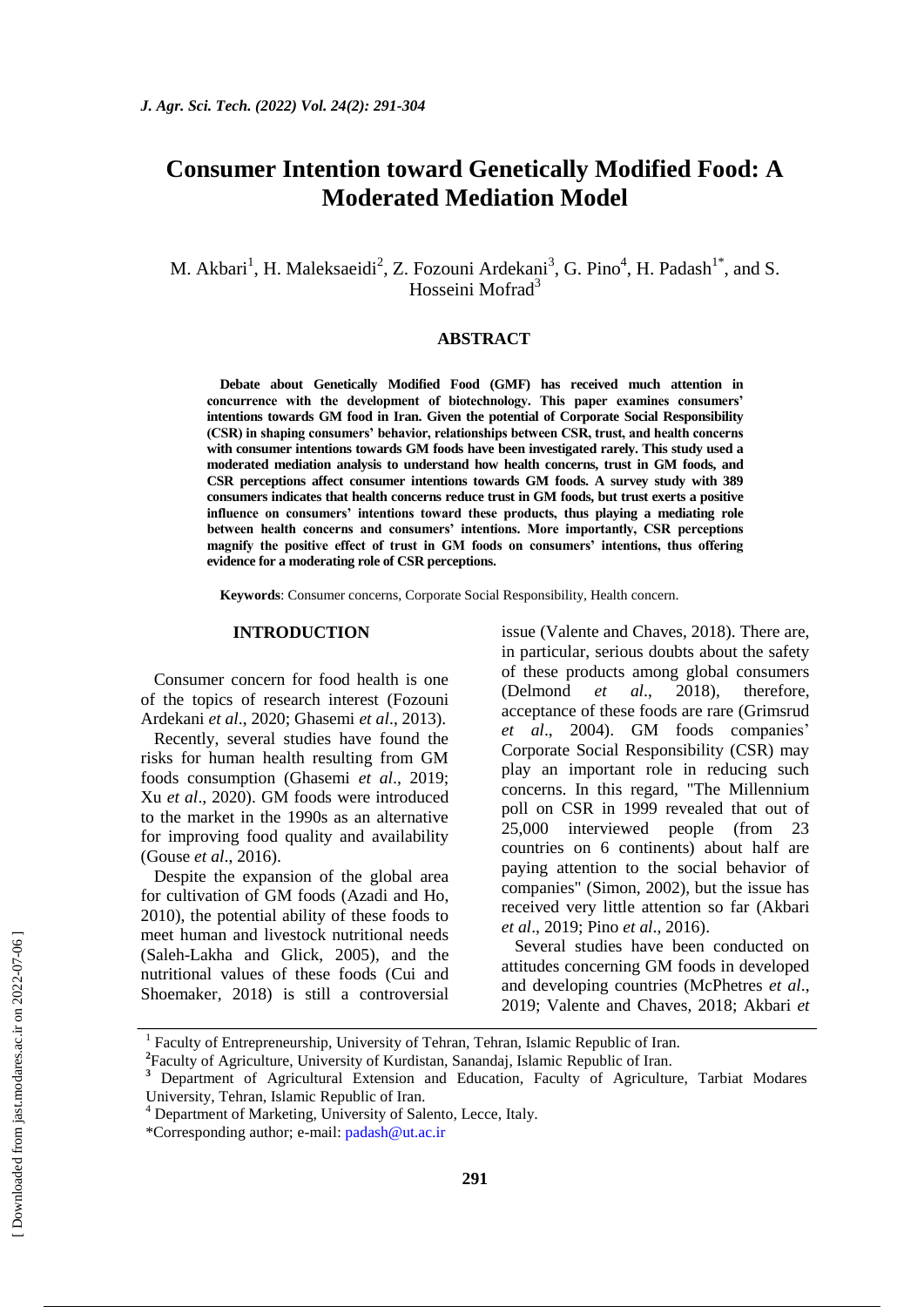# **Consumer Intention toward Genetically Modified Food: A Moderated Mediation Model**

## M. Akbari<sup>1</sup>, H. Maleksaeidi<sup>2</sup>, Z. Fozouni Ardekani<sup>3</sup>, G. Pino<sup>4</sup>, H. Padash<sup>1\*</sup>, and S. Hosseini Mofrad<sup>3</sup>

#### **ABSTRACT**

**Debate about Genetically Modified Food (GMF) has received much attention in concurrence with the development of biotechnology. This paper examines consumers' intentions towards GM food in Iran. Given the potential of Corporate Social Responsibility (CSR) in shaping consumers' behavior, relationships between CSR, trust, and health concerns with consumer intentions towards GM foods have been investigated rarely. This study used a moderated mediation analysis to understand how health concerns, trust in GM foods, and CSR perceptions affect consumer intentions towards GM foods. A survey study with 389 consumers indicates that health concerns reduce trust in GM foods, but trust exerts a positive influence on consumers' intentions toward these products, thus playing a mediating role between health concerns and consumers' intentions. More importantly, CSR perceptions magnify the positive effect of trust in GM foods on consumers' intentions, thus offering evidence for a moderating role of CSR perceptions.** 

**Keywords**: Consumer concerns, Corporate Social Responsibility, Health concern.

#### **INTRODUCTION**

Consumer concern for food health is one of the topics of research interest (Fozouni Ardekani *et al*., 2020; Ghasemi *et al*., 2013).

Recently, several studies have found the risks for human health resulting from GM foods consumption (Ghasemi *et al*., 2019; Xu *et al*., 2020). GM foods were introduced to the market in the 1990s as an alternative for improving food quality and availability (Gouse *et al*., 2016).

Despite the expansion of the global area for cultivation of GM foods (Azadi and Ho, 2010), the potential ability of these foods to meet human and livestock nutritional needs (Saleh-Lakha and Glick, 2005), and the nutritional values of these foods (Cui and Shoemaker, 2018) is still a controversial

issue (Valente and Chaves, 2018). There are, in particular, serious doubts about the safety of these products among global consumers (Delmond *et al*., 2018), therefore, acceptance of these foods are rare (Grimsrud *et al*., 2004). GM foods companies' Corporate Social Responsibility (CSR) may play an important role in reducing such concerns. In this regard, "The Millennium poll on CSR in 1999 revealed that out of 25,000 interviewed people (from 23 countries on 6 continents) about half are paying attention to the social behavior of companies" (Simon, 2002), but the issue has received very little attention so far (Akbari *et al*., 2019; Pino *et al*., 2016).

Several studies have been conducted on attitudes concerning GM foods in developed and developing countries (McPhetres *et al*., 2019; Valente and Chaves, 2018; Akbari *et* 

<sup>&</sup>lt;sup>1</sup> Faculty of Entrepreneurship, University of Tehran, Tehran, Islamic Republic of Iran.

<sup>&</sup>lt;sup>2</sup> Faculty of Agriculture, University of Kurdistan, Sanandaj, Islamic Republic of Iran.

<sup>&</sup>lt;sup>3</sup> Department of Agricultural Extension and Education, Faculty of Agriculture, Tarbiat Modares University, Tehran, Islamic Republic of Iran.

<sup>4</sup> Department of Marketing, University of Salento, Lecce, Italy.

<sup>\*</sup>Corresponding author; e-mail[: padash@ut.ac.ir](mailto:padash@ut.ac.ir)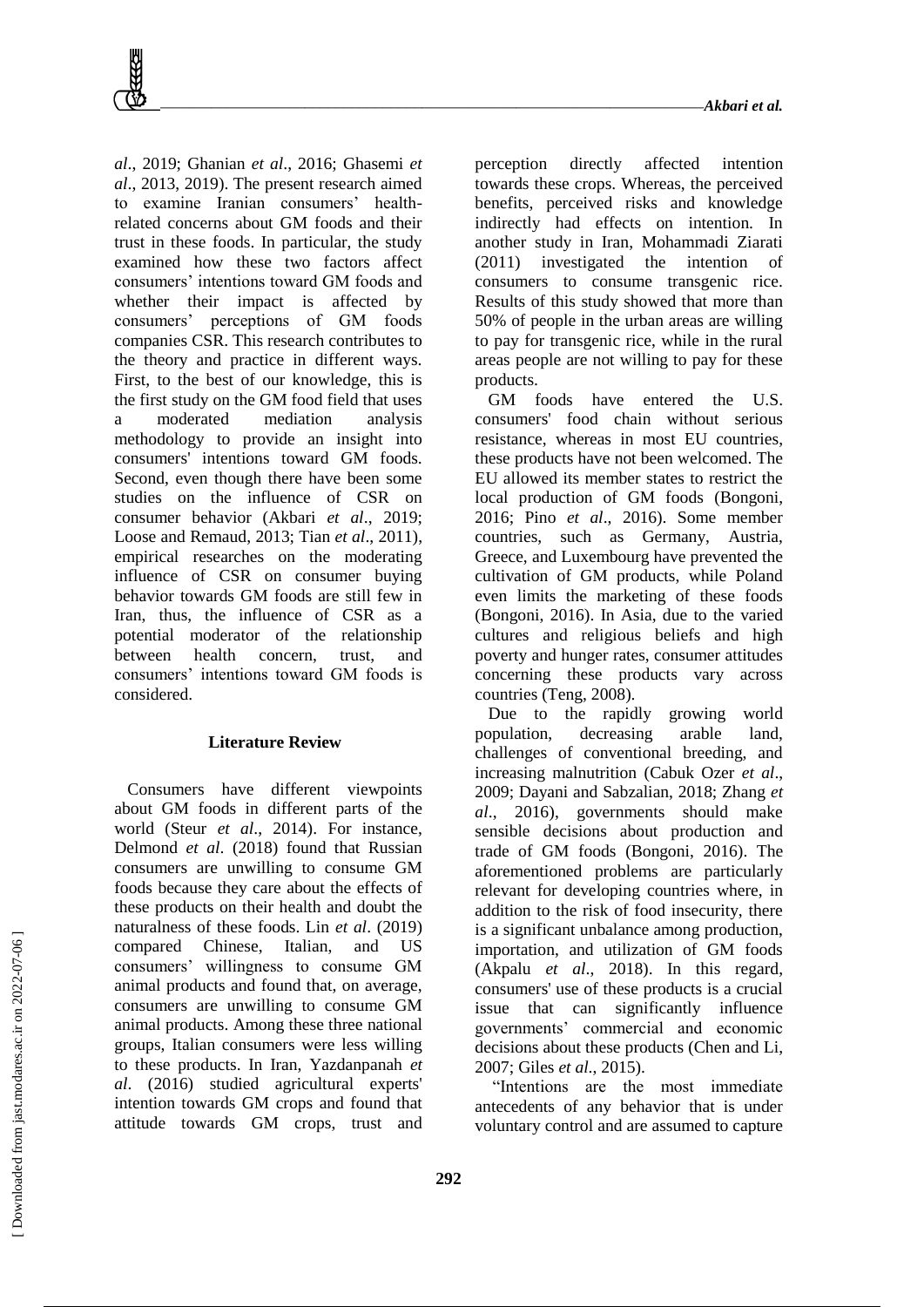*al*., 2019; Ghanian *et al*., 2016; Ghasemi *et al*., 2013, 2019). The present research aimed to examine Iranian consumers' healthrelated concerns about GM foods and their trust in these foods. In particular, the study examined how these two factors affect consumers' intentions toward GM foods and whether their impact is affected by consumers' perceptions of GM foods companies CSR. This research contributes to the theory and practice in different ways. First, to the best of our knowledge, this is the first study on the GM food field that uses a moderated mediation analysis methodology to provide an insight into consumers' intentions toward GM foods. Second, even though there have been some studies on the influence of CSR on consumer behavior (Akbari *et al*., 2019; Loose and Remaud, 2013; Tian *et al*., 2011), empirical researches on the moderating influence of CSR on consumer buying behavior towards GM foods are still few in Iran, thus, the influence of CSR as a potential moderator of the relationship between health concern, trust, and consumers' intentions toward GM foods is considered.

### **Literature Review**

Consumers have different viewpoints about GM foods in different parts of the world (Steur *et al*., 2014). For instance, Delmond *et al*. (2018) found that Russian consumers are unwilling to consume GM foods because they care about the effects of these products on their health and doubt the naturalness of these foods. Lin *et al*. (2019) compared Chinese, Italian, and US consumers' willingness to consume GM animal products and found that, on average, consumers are unwilling to consume GM animal products. Among these three national groups, Italian consumers were less willing to these products. In Iran, Yazdanpanah *et al*. (2016) studied agricultural experts' intention towards GM crops and found that attitude towards GM crops, trust and

perception directly affected intention towards these crops. Whereas, the perceived benefits, perceived risks and knowledge indirectly had effects on intention. In another study in Iran, Mohammadi Ziarati (2011) investigated the intention of consumers to consume transgenic rice. Results of this study showed that more than 50% of people in the urban areas are willing to pay for transgenic rice, while in the rural areas people are not willing to pay for these products.

GM foods have entered the U.S. consumers' food chain without serious resistance, whereas in most EU countries, these products have not been welcomed. The EU allowed its member states to restrict the local production of GM foods (Bongoni, 2016; Pino *et al*., 2016). Some member countries, such as Germany, Austria, Greece, and Luxembourg have prevented the cultivation of GM products, while Poland even limits the marketing of these foods (Bongoni, 2016). In Asia, due to the varied cultures and religious beliefs and high poverty and hunger rates, consumer attitudes concerning these products vary across countries (Teng, 2008).

Due to the rapidly growing world population, decreasing arable land, challenges of conventional breeding, and increasing malnutrition (Cabuk Ozer *et al*., 2009; Dayani and Sabzalian, 2018; Zhang *et al*., 2016), governments should make sensible decisions about production and trade of GM foods (Bongoni, 2016). The aforementioned problems are particularly relevant for developing countries where, in addition to the risk of food insecurity, there is a significant unbalance among production, importation, and utilization of GM foods (Akpalu *et al*., 2018). In this regard, consumers' use of these products is a crucial issue that can significantly influence governments' commercial and economic decisions about these products (Chen and Li, 2007; Giles *et al*., 2015).

"Intentions are the most immediate antecedents of any behavior that is under voluntary control and are assumed to capture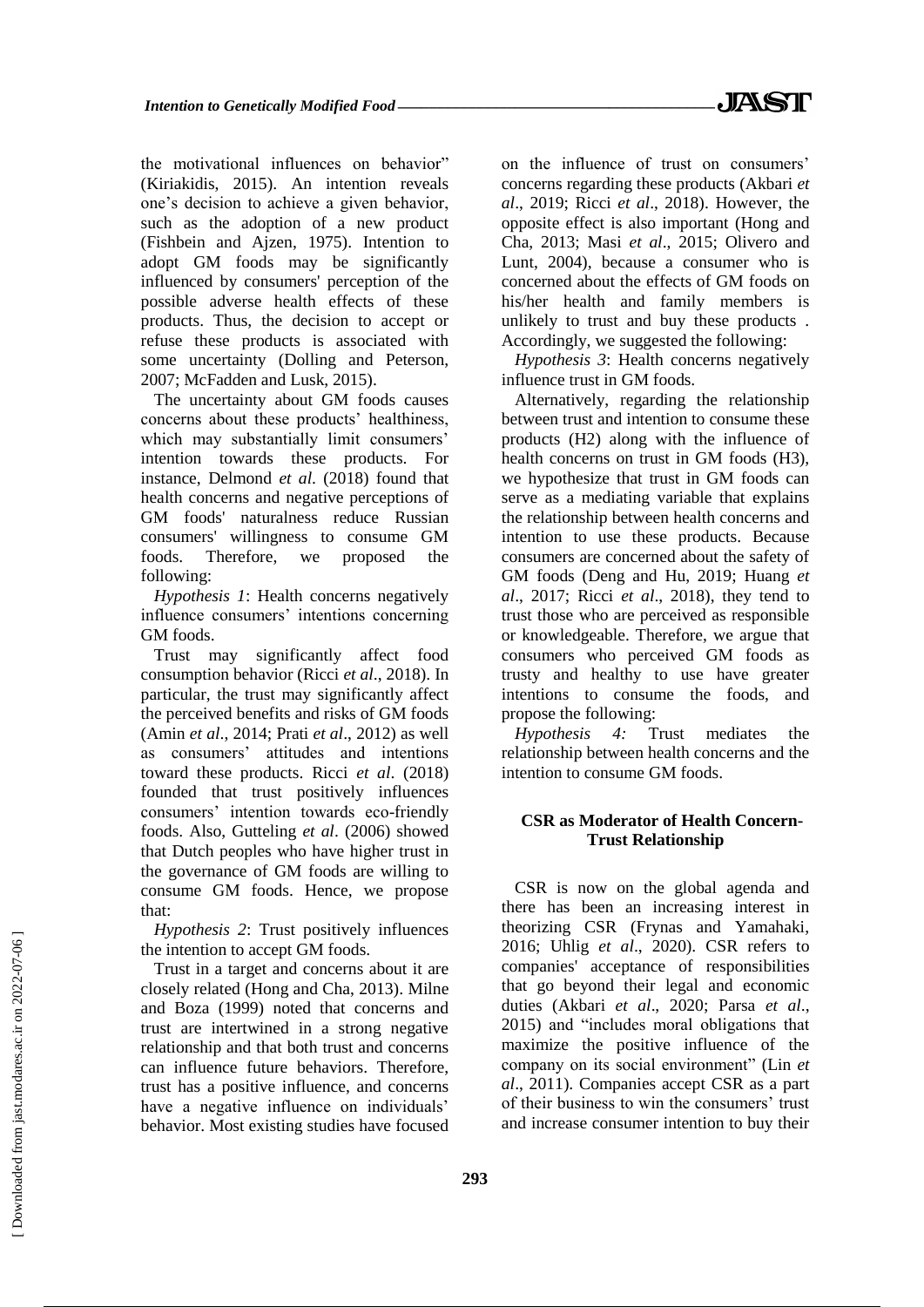the motivational influences on behavior" (Kiriakidis, 2015). An intention reveals one's decision to achieve a given behavior, such as the adoption of a new product (Fishbein and Ajzen, 1975). Intention to adopt GM foods may be significantly influenced by consumers' perception of the possible adverse health effects of these products. Thus, the decision to accept or refuse these products is associated with some uncertainty (Dolling and Peterson, 2007; McFadden and Lusk, 2015).

The uncertainty about GM foods causes concerns about these products' healthiness, which may substantially limit consumers' intention towards these products. For instance, Delmond *et al*. (2018) found that health concerns and negative perceptions of GM foods' naturalness reduce Russian consumers' willingness to consume GM foods. Therefore, we proposed the following:

*Hypothesis 1*: Health concerns negatively influence consumers' intentions concerning GM foods.

Trust may significantly affect food consumption behavior (Ricci *et al*., 2018). In particular, the trust may significantly affect the perceived benefits and risks of GM foods (Amin *et al*., 2014; Prati *et al*., 2012) as well as consumers' attitudes and intentions toward these products. Ricci *et al*. (2018) founded that trust positively influences consumers' intention towards eco-friendly foods. Also, Gutteling *et al*. (2006) showed that Dutch peoples who have higher trust in the governance of GM foods are willing to consume GM foods. Hence, we propose that:

*Hypothesis 2*: Trust positively influences the intention to accept GM foods.

Trust in a target and concerns about it are closely related (Hong and Cha, 2013). Milne and Boza (1999) noted that concerns and trust are intertwined in a strong negative relationship and that both trust and concerns can influence future behaviors. Therefore, trust has a positive influence, and concerns have a negative influence on individuals' behavior. Most existing studies have focused on the influence of trust on consumers' concerns regarding these products (Akbari *et al*., 2019; Ricci *et al*., 2018). However, the opposite effect is also important (Hong and Cha, 2013; Masi *et al*., 2015; Olivero and Lunt, 2004), because a consumer who is concerned about the effects of GM foods on his/her health and family members is unlikely to trust and buy these products . Accordingly, we suggested the following:

*Hypothesis 3*: Health concerns negatively influence trust in GM foods.

Alternatively, regarding the relationship between trust and intention to consume these products (H2) along with the influence of health concerns on trust in GM foods  $(H3)$ , we hypothesize that trust in GM foods can serve as a mediating variable that explains the relationship between health concerns and intention to use these products. Because consumers are concerned about the safety of GM foods (Deng and Hu, 2019; Huang *et al*., 2017; Ricci *et al*., 2018), they tend to trust those who are perceived as responsible or knowledgeable. Therefore, we argue that consumers who perceived GM foods as trusty and healthy to use have greater intentions to consume the foods, and propose the following:

*Hypothesis 4:* Trust mediates the relationship between health concerns and the intention to consume GM foods.

#### **CSR as Moderator of Health Concern-Trust Relationship**

CSR is now on the global agenda and there has been an increasing interest in theorizing CSR (Frynas and Yamahaki, 2016; Uhlig *et al*., 2020). CSR refers to companies' acceptance of responsibilities that go beyond their legal and economic duties (Akbari *et al*., 2020; Parsa *et al*., 2015) and "includes moral obligations that maximize the positive influence of the company on its social environment" (Lin *et al*., 2011). Companies accept CSR as a part of their business to win the consumers' trust and increase consumer intention to buy their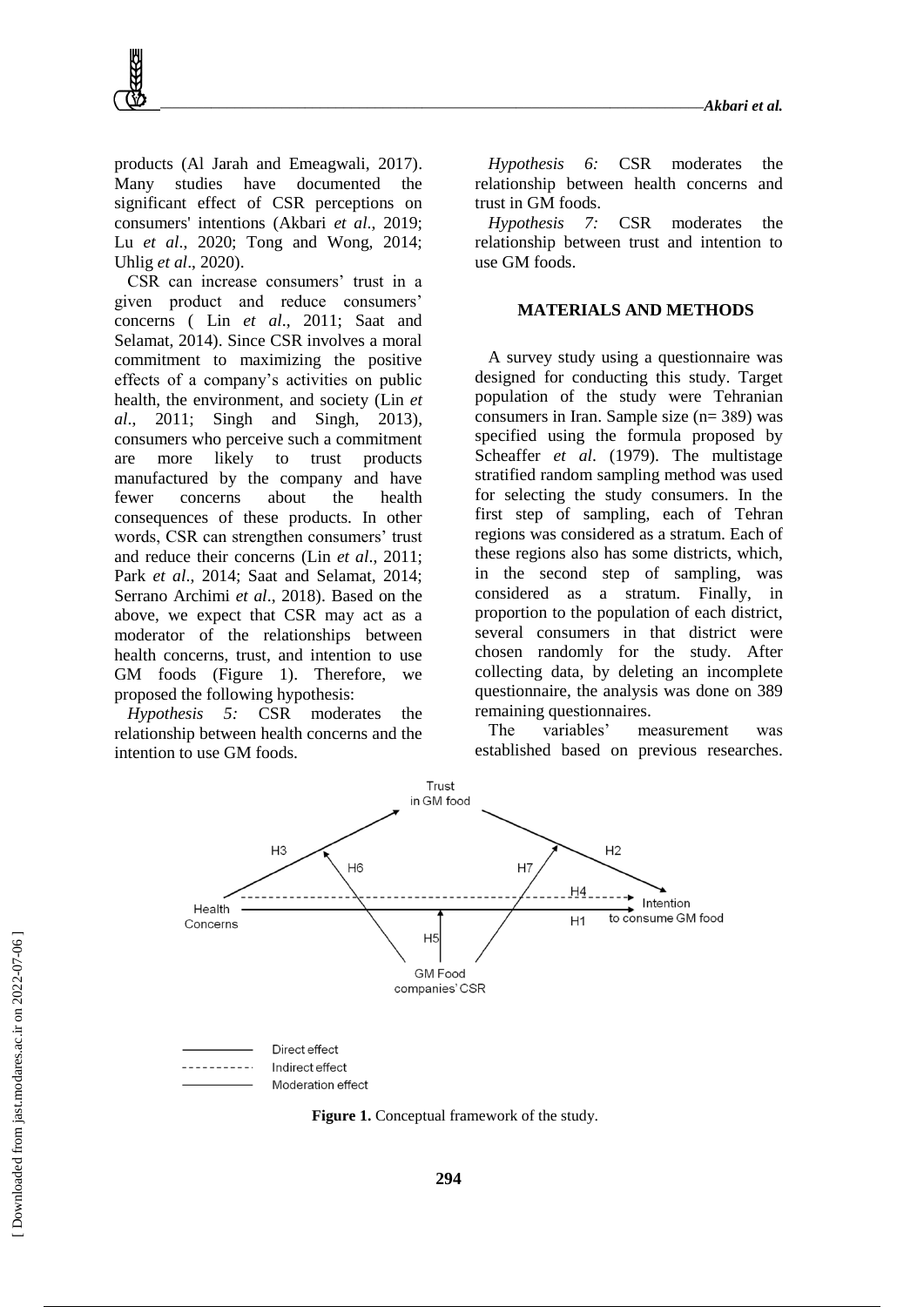products (Al Jarah and Emeagwali, 2017). Many studies have documented the significant effect of CSR perceptions on consumers' intentions (Akbari *et al*., 2019; Lu *et al*., 2020; Tong and Wong, 2014; Uhlig *et al*., 2020).

CSR can increase consumers' trust in a given product and reduce consumers' concerns ( Lin *et al*., 2011; Saat and Selamat, 2014). Since CSR involves a moral commitment to maximizing the positive effects of a company's activities on public health, the environment, and society (Lin *et al*., 2011; Singh and Singh, 2013), consumers who perceive such a commitment are more likely to trust products manufactured by the company and have fewer concerns about the health consequences of these products. In other words, CSR can strengthen consumers' trust and reduce their concerns (Lin *et al*., 2011; Park *et al*., 2014; Saat and Selamat, 2014; Serrano Archimi *et al*., 2018). Based on the above, we expect that CSR may act as a moderator of the relationships between health concerns, trust, and intention to use GM foods (Figure 1). Therefore, we proposed the following hypothesis:

*Hypothesis 5:* CSR moderates the relationship between health concerns and the intention to use GM foods.

*Hypothesis 6:* CSR moderates the relationship between health concerns and trust in GM foods.

*Hypothesis 7:* CSR moderates the relationship between trust and intention to use GM foods.

#### **MATERIALS AND METHODS**

A survey study using a questionnaire was designed for conducting this study. Target population of the study were Tehranian consumers in Iran. Sample size (n= 389) was specified using the formula proposed by Scheaffer *et al*. (1979). The multistage stratified random sampling method was used for selecting the study consumers. In the first step of sampling, each of Tehran regions was considered as a stratum. Each of these regions also has some districts, which, in the second step of sampling, was considered as a stratum. Finally, in proportion to the population of each district, several consumers in that district were chosen randomly for the study. After collecting data, by deleting an incomplete questionnaire, the analysis was done on 389 remaining questionnaires.

The variables' measurement was established based on previous researches.



**Figure 1.** Conceptual framework of the study.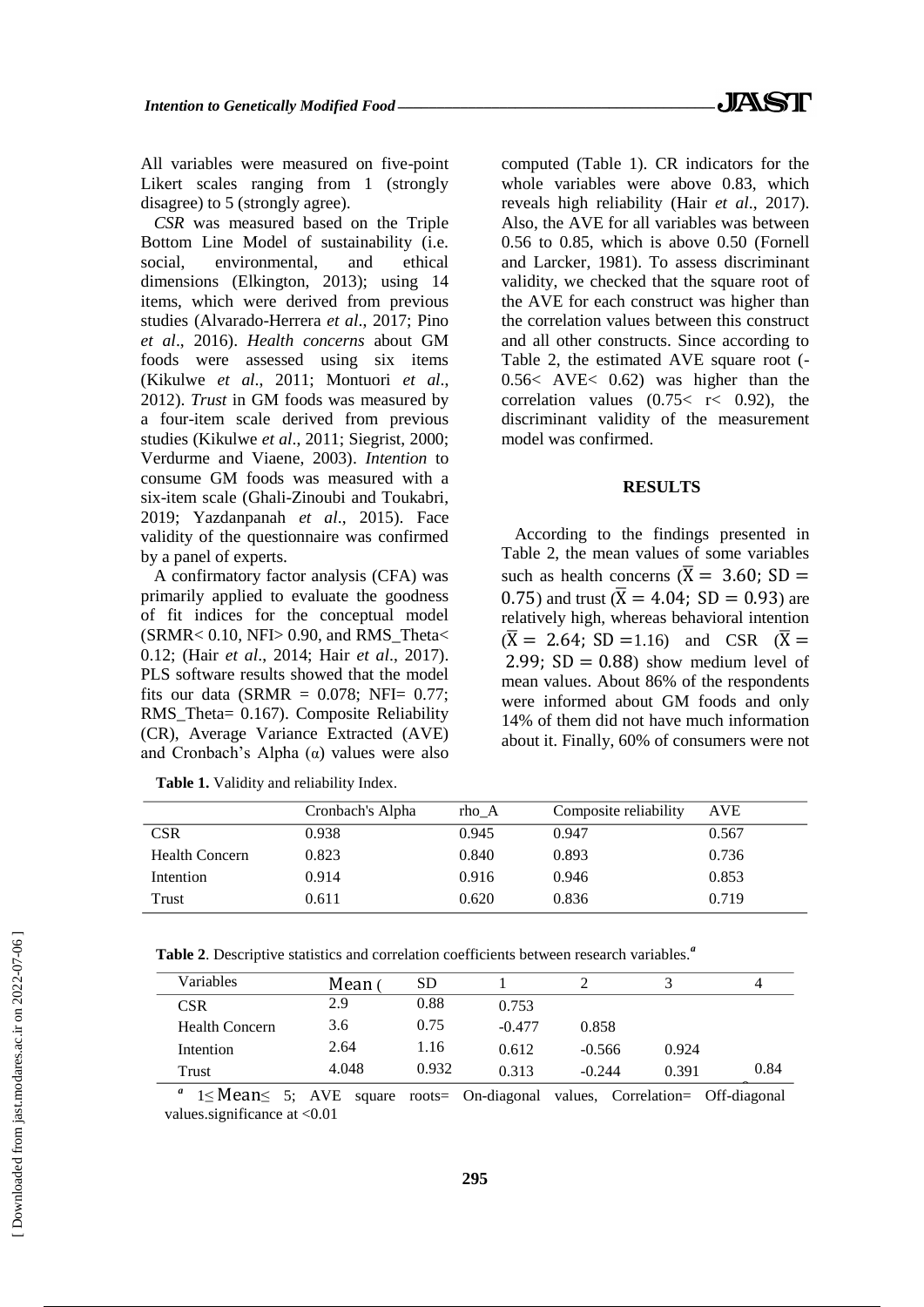All variables were measured on five-point Likert scales ranging from 1 (strongly disagree) to 5 (strongly agree).

*CSR* was measured based on the Triple Bottom Line Model of sustainability (i.e. social, environmental, and ethical dimensions (Elkington, 2013); using 14 items, which were derived from previous studies (Alvarado-Herrera *et al*., 2017; Pino *et al*., 2016). *Health concerns* about GM foods were assessed using six items (Kikulwe *et al*., 2011; Montuori *et al*., 2012). *Trust* in GM foods was measured by a four-item scale derived from previous studies (Kikulwe *et al*., 2011; Siegrist, 2000; Verdurme and Viaene, 2003). *Intention* to consume GM foods was measured with a six-item scale (Ghali-Zinoubi and Toukabri, 2019; Yazdanpanah *et al*., 2015). Face validity of the questionnaire was confirmed by a panel of experts.

A confirmatory factor analysis (CFA) was primarily applied to evaluate the goodness of fit indices for the conceptual model  $(SRMR < 0.10, NFl > 0.90, and RMS Theta <$ 0.12; (Hair *et al*., 2014; Hair *et al*., 2017). PLS software results showed that the model fits our data (SRMR =  $0.078$ ; NFI=  $0.77$ ; RMS\_Theta= 0.167). Composite Reliability (CR), Average Variance Extracted (AVE) and Cronbach's Alpha  $(α)$  values were also

computed (Table 1). CR indicators for the whole variables were above 0.83, which reveals high reliability (Hair *et al*., 2017). Also, the AVE for all variables was between 0.56 to 0.85, which is above 0.50 (Fornell and Larcker, 1981). To assess discriminant validity, we checked that the square root of the AVE for each construct was higher than the correlation values between this construct and all other constructs. Since according to Table 2, the estimated AVE square root (- 0.56< AVE< 0.62) was higher than the correlation values  $(0.75 < r < 0.92)$ , the discriminant validity of the measurement model was confirmed.

#### **RESULTS**

According to the findings presented in Table 2, the mean values of some variables such as health concerns  $(\overline{X} = 3.60; SD =$ 0.75) and trust  $(\bar{X} = 4.04; SD = 0.93)$  are relatively high, whereas behavioral intention  $(\overline{X} = 2.64; SD = 1.16)$  and CSR  $(\overline{X} =$ 2.99;  $SD = 0.88$ ) show medium level of mean values. About 86% of the respondents were informed about GM foods and only 14% of them did not have much information about it. Finally, 60% of consumers were not

|                | Cronbach's Alpha | rho A | Composite reliability | <b>AVE</b> |
|----------------|------------------|-------|-----------------------|------------|
| <b>CSR</b>     | 0.938            | 0.945 | 0.947                 | 0.567      |
| Health Concern | 0.823            | 0.840 | 0.893                 | 0.736      |
| Intention      | 0.914            | 0.916 | 0.946                 | 0.853      |
| Trust          | 0.611            | 0.620 | 0.836                 | 0.719      |

**Table 1.** Validity and reliability Index.

**Table 2**. Descriptive statistics and correlation coefficients between research variables.*<sup>a</sup>*

| <b>Variables</b>      | Mean ( | <b>SD</b> |          |          |       |      |
|-----------------------|--------|-----------|----------|----------|-------|------|
| <b>CSR</b>            | 2.9    | 0.88      | 0.753    |          |       |      |
| <b>Health Concern</b> | 3.6    | 0.75      | $-0.477$ | 0.858    |       |      |
| Intention             | 2.64   | 1.16      | 0.612    | $-0.566$ | 0.924 |      |
| Trust                 | 4.048  | 0.932     | 0.313    | $-0.244$ | 0.391 | 0.84 |

*a* 1≤ Mean≤ 5; AVE square roots= On-diagonal values, Correlation= Off-diagonal values.significance at <0.01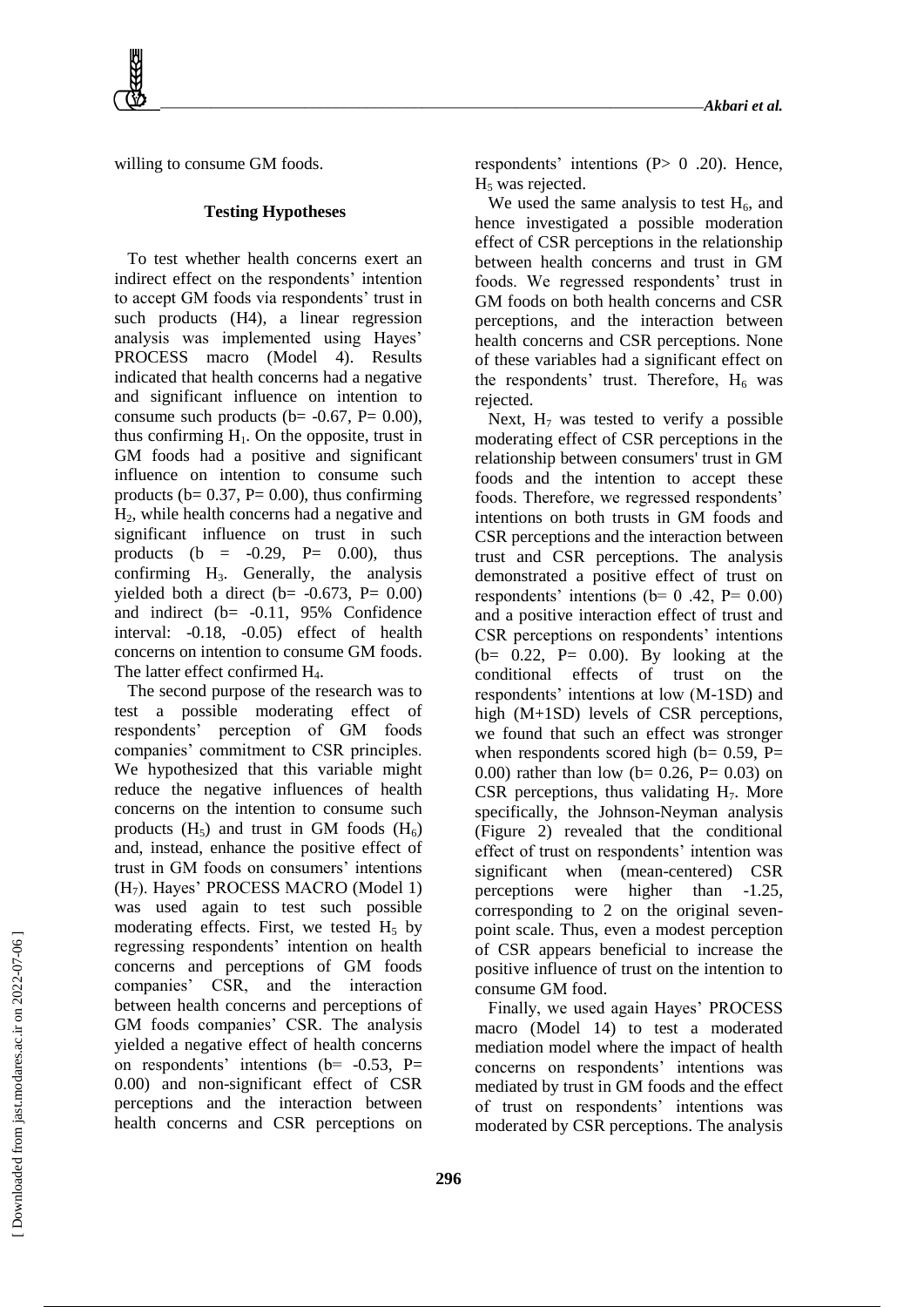willing to consume GM foods.

#### **Testing Hypotheses**

To test whether health concerns exert an indirect effect on the respondents' intention to accept GM foods via respondents' trust in such products (H4), a linear regression analysis was implemented using Hayes' PROCESS macro (Model 4). Results indicated that health concerns had a negative and significant influence on intention to consume such products ( $b = -0.67$ ,  $P = 0.00$ ), thus confirming  $H<sub>1</sub>$ . On the opposite, trust in GM foods had a positive and significant influence on intention to consume such products ( $b = 0.37$ ,  $P = 0.00$ ), thus confirming H2, while health concerns had a negative and significant influence on trust in such products (b =  $-0.29$ , P= 0.00), thus confirming H3. Generally, the analysis yielded both a direct ( $b$ = -0.673, P= 0.00) and indirect (b= -0.11, 95% Confidence interval: -0.18, -0.05) effect of health concerns on intention to consume GM foods. The latter effect confirmed H<sub>4</sub>.

The second purpose of the research was to test a possible moderating effect of respondents' perception of GM foods companies' commitment to CSR principles. We hypothesized that this variable might reduce the negative influences of health concerns on the intention to consume such products  $(H_5)$  and trust in GM foods  $(H_6)$ and, instead, enhance the positive effect of trust in GM foods on consumers' intentions  $(H<sub>7</sub>)$ . Hayes' PROCESS MACRO (Model 1) was used again to test such possible moderating effects. First, we tested  $H_5$  by regressing respondents' intention on health concerns and perceptions of GM foods companies' CSR, and the interaction between health concerns and perceptions of GM foods companies' CSR. The analysis yielded a negative effect of health concerns on respondents' intentions ( $b$ = -0.53, P= 0.00) and non-significant effect of CSR perceptions and the interaction between health concerns and CSR perceptions on respondents' intentions  $(P> 0.20)$ . Hence, H<sub>5</sub> was rejected.

We used the same analysis to test  $H_6$ , and hence investigated a possible moderation effect of CSR perceptions in the relationship between health concerns and trust in GM foods. We regressed respondents' trust in GM foods on both health concerns and CSR perceptions, and the interaction between health concerns and CSR perceptions. None of these variables had a significant effect on the respondents' trust. Therefore,  $H_6$  was rejected.

Next,  $H_7$  was tested to verify a possible moderating effect of CSR perceptions in the relationship between consumers' trust in GM foods and the intention to accept these foods. Therefore, we regressed respondents' intentions on both trusts in GM foods and CSR perceptions and the interaction between trust and CSR perceptions. The analysis demonstrated a positive effect of trust on respondents' intentions ( $b= 0$  .42,  $P= 0.00$ ) and a positive interaction effect of trust and CSR perceptions on respondents' intentions (b=  $0.22$ , P=  $0.00$ ). By looking at the conditional effects of trust on the respondents' intentions at low (M-1SD) and high (M+1SD) levels of CSR perceptions, we found that such an effect was stronger when respondents scored high ( $b= 0.59$ , P= 0.00) rather than low ( $b = 0.26$ ,  $P = 0.03$ ) on CSR perceptions, thus validating  $H_7$ . More specifically, the Johnson-Neyman analysis (Figure 2) revealed that the conditional effect of trust on respondents' intention was significant when (mean-centered) CSR perceptions were higher than -1.25, corresponding to 2 on the original sevenpoint scale. Thus, even a modest perception of CSR appears beneficial to increase the positive influence of trust on the intention to consume GM food.

Finally, we used again Hayes' PROCESS macro (Model 14) to test a moderated mediation model where the impact of health concerns on respondents' intentions was mediated by trust in GM foods and the effect of trust on respondents' intentions was moderated by CSR perceptions. The analysis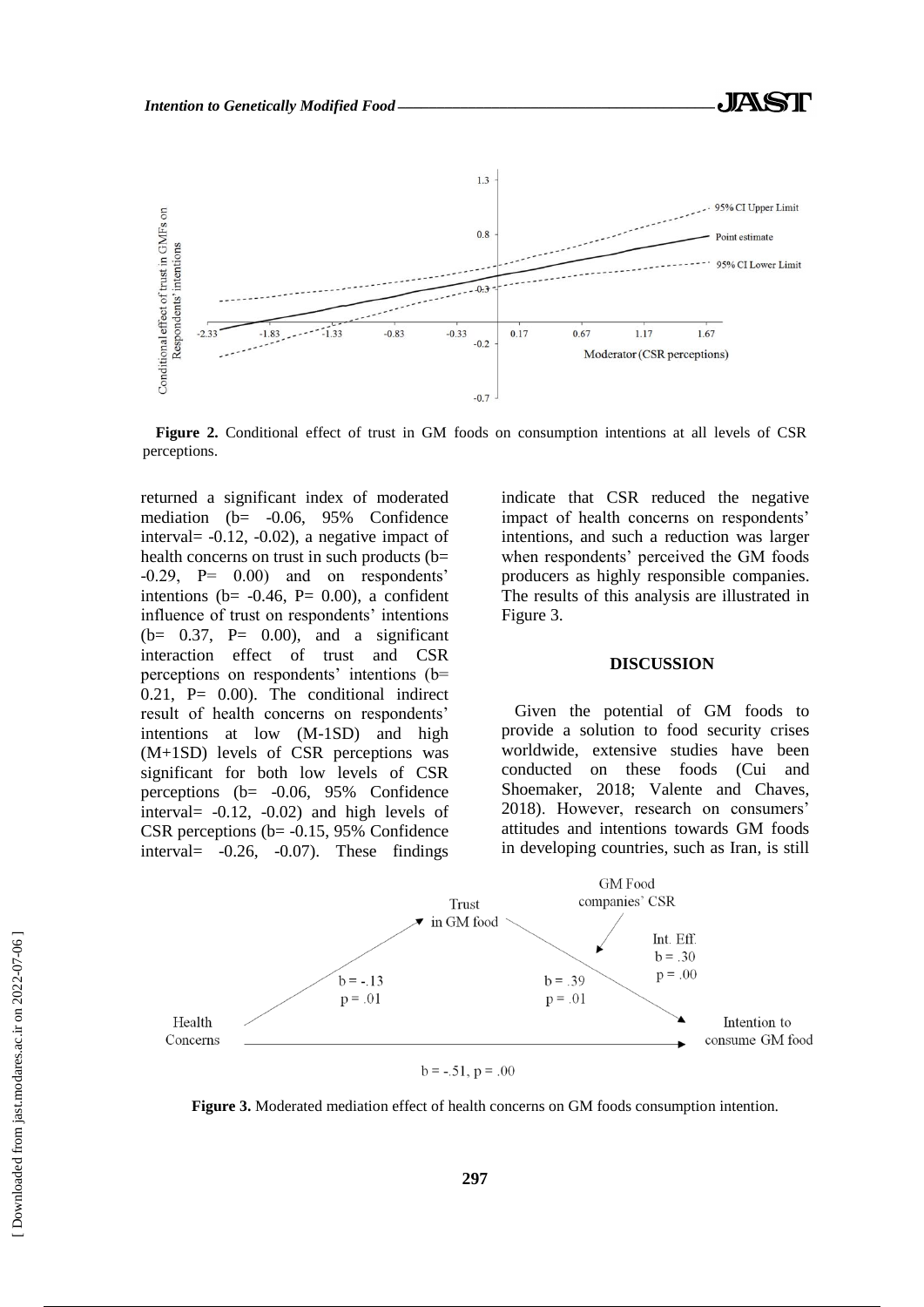

**Figure 2.** Conditional effect of trust in GM foods on consumption intentions at all levels of CSR perceptions.

returned a significant index of moderated mediation (b= -0.06, 95% Confidence interval= -0.12, -0.02), a negative impact of health concerns on trust in such products (b= -0.29, P= 0.00) and on respondents' intentions ( $b = -0.46$ ,  $P = 0.00$ ), a confident influence of trust on respondents' intentions  $(b= 0.37, P= 0.00)$ , and a significant interaction effect of trust and CSR perceptions on respondents' intentions (b=  $0.21$ , P=  $0.00$ ). The conditional indirect result of health concerns on respondents' intentions at low (M-1SD) and high (M+1SD) levels of CSR perceptions was significant for both low levels of CSR perceptions (b= -0.06, 95% Confidence interval= -0.12, -0.02) and high levels of CSR perceptions (b= -0.15, 95% Confidence interval= -0.26, -0.07). These findings indicate that CSR reduced the negative impact of health concerns on respondents' intentions, and such a reduction was larger when respondents' perceived the GM foods producers as highly responsible companies. The results of this analysis are illustrated in Figure 3.

#### **DISCUSSION**

Given the potential of GM foods to provide a solution to food security crises worldwide, extensive studies have been conducted on these foods (Cui and Shoemaker, 2018; Valente and Chaves, 2018). However, research on consumers' attitudes and intentions towards GM foods in developing countries, such as Iran, is still



**Figure 3.** Moderated mediation effect of health concerns on GM foods consumption intention.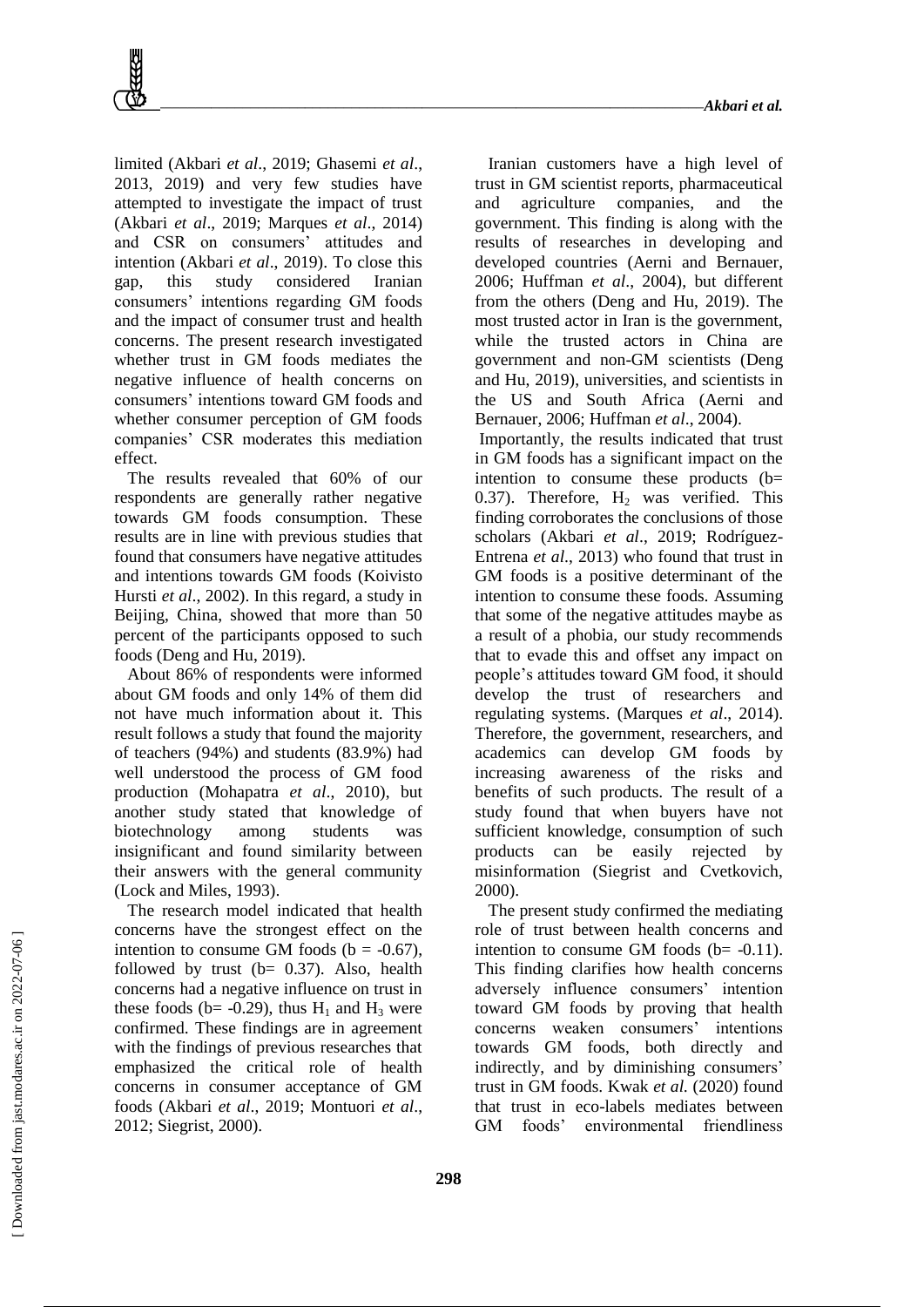limited (Akbari *et al*., 2019; Ghasemi *et al*., 2013, 2019) and very few studies have attempted to investigate the impact of trust (Akbari *et al*., 2019; Marques *et al*., 2014) and CSR on consumers' attitudes and intention (Akbari *et al*., 2019). To close this gap, this study considered Iranian consumers' intentions regarding GM foods and the impact of consumer trust and health concerns. The present research investigated whether trust in GM foods mediates the negative influence of health concerns on consumers' intentions toward GM foods and whether consumer perception of GM foods companies' CSR moderates this mediation effect.

The results revealed that 60% of our respondents are generally rather negative towards GM foods consumption. These results are in line with previous studies that found that consumers have negative attitudes and intentions towards GM foods (Koivisto Hursti *et al*., 2002). In this regard, a study in Beijing, China, showed that more than 50 percent of the participants opposed to such foods (Deng and Hu, 2019).

About 86% of respondents were informed about GM foods and only 14% of them did not have much information about it. This result follows a study that found the majority of teachers (94%) and students (83.9%) had well understood the process of GM food production (Mohapatra *et al*., 2010), but another study stated that knowledge of biotechnology among students was insignificant and found similarity between their answers with the general community (Lock and Miles, 1993).

The research model indicated that health concerns have the strongest effect on the intention to consume GM foods ( $b = -0.67$ ). followed by trust ( $b = 0.37$ ). Also, health concerns had a negative influence on trust in these foods (b= -0.29), thus  $H_1$  and  $H_3$  were confirmed. These findings are in agreement with the findings of previous researches that emphasized the critical role of health concerns in consumer acceptance of GM foods (Akbari *et al*., 2019; Montuori *et al*., 2012; Siegrist, 2000).

Iranian customers have a high level of trust in GM scientist reports, pharmaceutical and agriculture companies, and the government. This finding is along with the results of researches in developing and developed countries (Aerni and Bernauer, 2006; Huffman *et al*., 2004), but different from the others (Deng and Hu, 2019). The most trusted actor in Iran is the government, while the trusted actors in China are government and non-GM scientists (Deng and Hu, 2019), universities, and scientists in the US and South Africa (Aerni and Bernauer, 2006; Huffman *et al*., 2004).

Importantly, the results indicated that trust in GM foods has a significant impact on the intention to consume these products (b= 0.37). Therefore,  $H_2$  was verified. This finding corroborates the conclusions of those scholars (Akbari *et al*., 2019; Rodríguez-Entrena *et al*., 2013) who found that trust in GM foods is a positive determinant of the intention to consume these foods. Assuming that some of the negative attitudes maybe as a result of a phobia, our study recommends that to evade this and offset any impact on people's attitudes toward GM food, it should develop the trust of researchers and regulating systems. (Marques *et al*., 2014). Therefore, the government, researchers, and academics can develop GM foods by increasing awareness of the risks and benefits of such products. The result of a study found that when buyers have not sufficient knowledge, consumption of such products can be easily rejected by misinformation (Siegrist and Cvetkovich, 2000).

The present study confirmed the mediating role of trust between health concerns and intention to consume GM foods  $(b=-0.11)$ . This finding clarifies how health concerns adversely influence consumers' intention toward GM foods by proving that health concerns weaken consumers' intentions towards GM foods, both directly and indirectly, and by diminishing consumers' trust in GM foods. Kwak *et al.* (2020) found that trust in eco-labels mediates between GM foods' environmental friendliness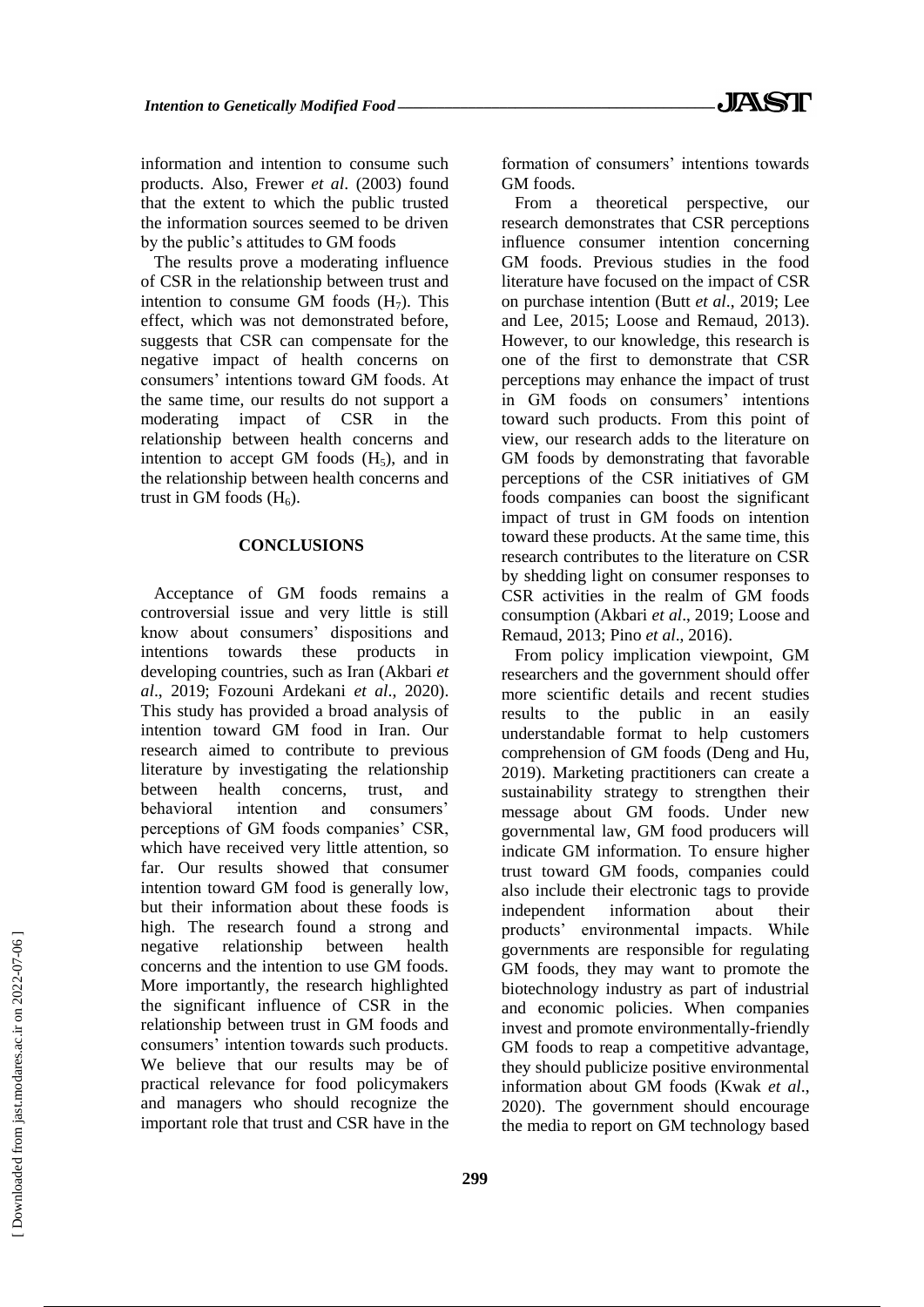information and intention to consume such products. Also, Frewer *et al*. (2003) found that the extent to which the public trusted the information sources seemed to be driven by the public's attitudes to GM foods

The results prove a moderating influence of CSR in the relationship between trust and intention to consume GM foods  $(H_7)$ . This effect, which was not demonstrated before, suggests that CSR can compensate for the negative impact of health concerns on consumers' intentions toward GM foods. At the same time, our results do not support a moderating impact of CSR in the relationship between health concerns and intention to accept GM foods  $(H<sub>5</sub>)$ , and in the relationship between health concerns and trust in GM foods  $(H<sub>6</sub>)$ .

#### **CONCLUSIONS**

Acceptance of GM foods remains a controversial issue and very little is still know about consumers' dispositions and intentions towards these products in developing countries, such as Iran (Akbari *et al*., 2019; Fozouni Ardekani *et al*., 2020). This study has provided a broad analysis of intention toward GM food in Iran. Our research aimed to contribute to previous literature by investigating the relationship between health concerns, trust, and behavioral intention and consumers' perceptions of GM foods companies' CSR, which have received very little attention, so far. Our results showed that consumer intention toward GM food is generally low, but their information about these foods is high. The research found a strong and negative relationship between health concerns and the intention to use GM foods. More importantly, the research highlighted the significant influence of CSR in the relationship between trust in GM foods and consumers' intention towards such products. We believe that our results may be of practical relevance for food policymakers and managers who should recognize the important role that trust and CSR have in the formation of consumers' intentions towards GM foods.

From a theoretical perspective, our research demonstrates that CSR perceptions influence consumer intention concerning GM foods. Previous studies in the food literature have focused on the impact of CSR on purchase intention (Butt *et al*., 2019; Lee and Lee, 2015; Loose and Remaud, 2013). However, to our knowledge, this research is one of the first to demonstrate that CSR perceptions may enhance the impact of trust in GM foods on consumers' intentions toward such products. From this point of view, our research adds to the literature on GM foods by demonstrating that favorable perceptions of the CSR initiatives of GM foods companies can boost the significant impact of trust in GM foods on intention toward these products. At the same time, this research contributes to the literature on CSR by shedding light on consumer responses to CSR activities in the realm of GM foods consumption (Akbari *et al*., 2019; Loose and Remaud, 2013; Pino *et al*., 2016).

From policy implication viewpoint, GM researchers and the government should offer more scientific details and recent studies results to the public in an easily understandable format to help customers comprehension of GM foods (Deng and Hu, 2019). Marketing practitioners can create a sustainability strategy to strengthen their message about GM foods. Under new governmental law, GM food producers will indicate GM information. To ensure higher trust toward GM foods, companies could also include their electronic tags to provide independent information about their products' environmental impacts. While governments are responsible for regulating GM foods, they may want to promote the biotechnology industry as part of industrial and economic policies. When companies invest and promote environmentally-friendly GM foods to reap a competitive advantage, they should publicize positive environmental information about GM foods (Kwak *et al*., 2020). The government should encourage the media to report on GM technology based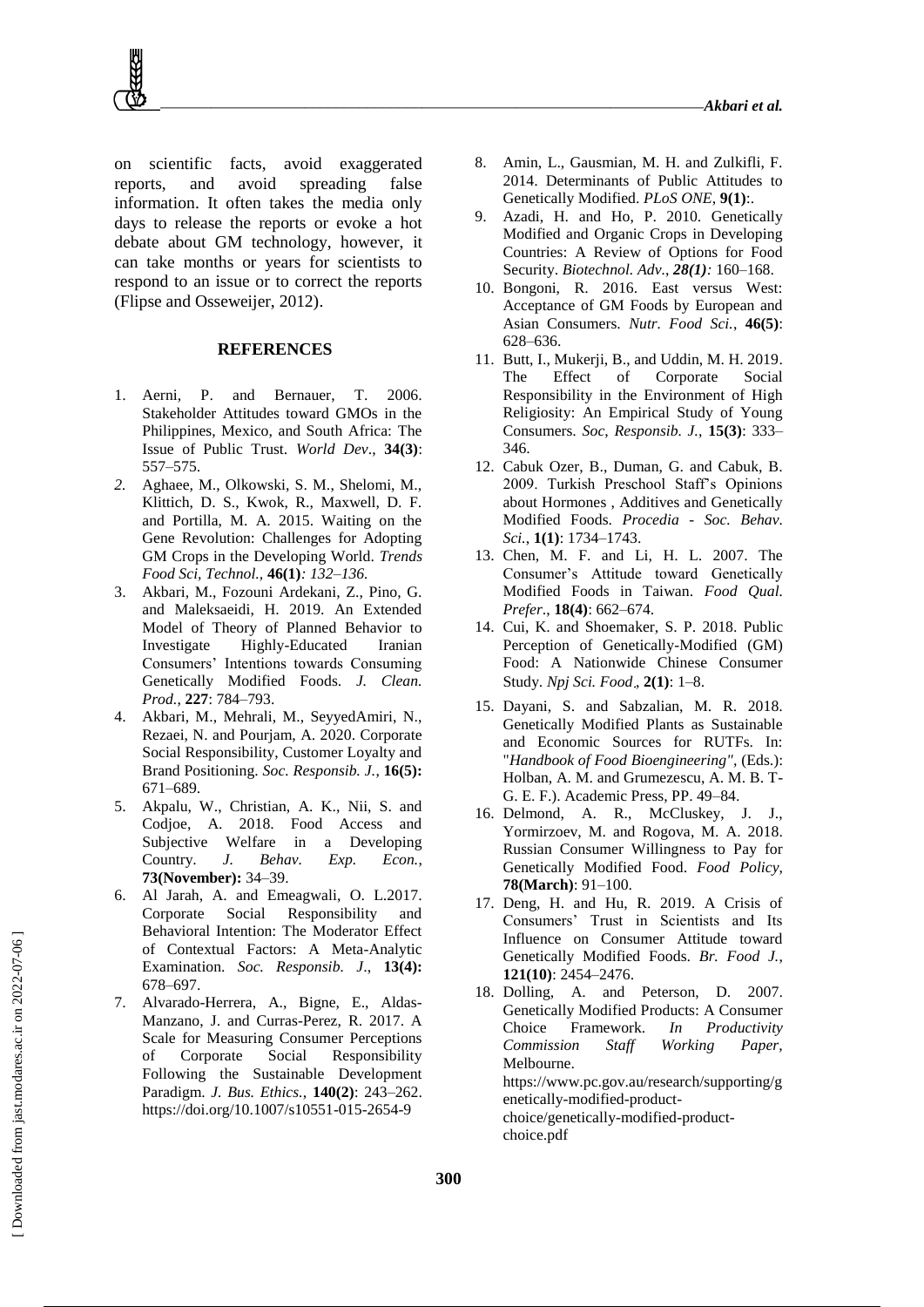on scientific facts, avoid exaggerated reports, and avoid spreading false information. It often takes the media only days to release the reports or evoke a hot debate about GM technology, however, it can take months or years for scientists to respond to an issue or to correct the reports (Flipse and Osseweijer, 2012).

#### **REFERENCES**

- 1. Aerni, P. and Bernauer, T. 2006. Stakeholder Attitudes toward GMOs in the Philippines, Mexico, and South Africa: The Issue of Public Trust. *World Dev*., **34(3)**: 557–575.
- *2.* Aghaee, M., Olkowski, S. M., Shelomi, M., Klittich, D. S., Kwok, R., Maxwell, D. F. and Portilla, M. A. 2015. Waiting on the Gene Revolution: Challenges for Adopting GM Crops in the Developing World. *Trends Food Sci, Technol.,* **46(1)***: 132–136.*
- 3. Akbari, M., Fozouni Ardekani, Z., Pino, G. and Maleksaeidi, H. 2019. An Extended Model of Theory of Planned Behavior to Investigate Highly-Educated Iranian Consumers' Intentions towards Consuming Genetically Modified Foods. *J. Clean. Prod.*, **227**: 784–793.
- 4. Akbari, M., Mehrali, M., SeyyedAmiri, N., Rezaei, N. and Pourjam, A. 2020. Corporate Social Responsibility, Customer Loyalty and Brand Positioning. *Soc. Responsib. J.*, **16(5):** 671–689.
- 5. Akpalu, W., Christian, A. K., Nii, S. and Codjoe, A. 2018. Food Access and Subjective Welfare in a Developing Country. *J. Behav. Exp. Econ.*, **73(November):** 34–39.
- 6. Al Jarah, A. and Emeagwali, O. L.2017. Corporate Social Responsibility and Behavioral Intention: The Moderator Effect of Contextual Factors: A Meta-Analytic Examination. *Soc. Responsib. J*., **13(4):** 678–697.
- 7. Alvarado-Herrera, A., Bigne, E., Aldas-Manzano, J. and Curras-Perez, R. 2017. A Scale for Measuring Consumer Perceptions of Corporate Social Responsibility Following the Sustainable Development Paradigm. *J. Bus. Ethics.*, **140(2)**: 243–262. https://doi.org/10.1007/s10551-015-2654-9
- 8. Amin, L., Gausmian, M. H. and Zulkifli, F. 2014. Determinants of Public Attitudes to Genetically Modified. *PLoS ONE*, **9(1)**:.
- 9. Azadi, H. and Ho, P. 2010. Genetically Modified and Organic Crops in Developing Countries: A Review of Options for Food Security. *Biotechnol. Adv.*, *28(1):* 160–168.
- 10. Bongoni, R. 2016. East versus West: Acceptance of GM Foods by European and Asian Consumers. *Nutr. Food Sci.*, **46(5)**: 628–636.
- 11. Butt, I., Mukerji, B., and Uddin, M. H. 2019. The Effect of Corporate Social Responsibility in the Environment of High Religiosity: An Empirical Study of Young Consumers. *Soc, Responsib. J.,* **15(3)**: 333– 346.
- 12. Cabuk Ozer, B., Duman, G. and Cabuk, B. 2009. Turkish Preschool Staff's Opinions about Hormones , Additives and Genetically Modified Foods. *Procedia - Soc. Behav. Sci.*, **1(1)**: 1734–1743.
- 13. Chen, M. F. and Li, H. L. 2007. The Consumer's Attitude toward Genetically Modified Foods in Taiwan. *Food Qual. Prefer*., **18(4)**: 662–674.
- 14. Cui, K. and Shoemaker, S. P. 2018. Public Perception of Genetically-Modified (GM) Food: A Nationwide Chinese Consumer Study. *Npj Sci. Food* , **2(1)**: 1–8.
- 15. Dayani, S. and Sabzalian, M. R. 2018. Genetically Modified Plants as Sustainable and Economic Sources for RUTFs. In: "*Handbook of Food Bioengineering",* (Eds.): Holban, A. M. and Grumezescu, A. M. B. T-G. E. F.). Academic Press, PP. 49–84.
- 16. Delmond, A. R., McCluskey, J. J., Yormirzoev, M. and Rogova, M. A. 2018. Russian Consumer Willingness to Pay for Genetically Modified Food. *Food Policy*, **78(March)**: 91–100.
- 17. Deng, H. and Hu, R. 2019. A Crisis of Consumers' Trust in Scientists and Its Influence on Consumer Attitude toward Genetically Modified Foods. *Br. Food J.*, **121(10)**: 2454–2476.
- 18. Dolling, A. and Peterson, D. 2007. Genetically Modified Products: A Consumer Choice Framework. *In Productivity Commission Staff Working Paper,*  Melbourne. https://www.pc.gov.au/research/supporting/g enetically-modified-productchoice/genetically-modified-productchoice.pdf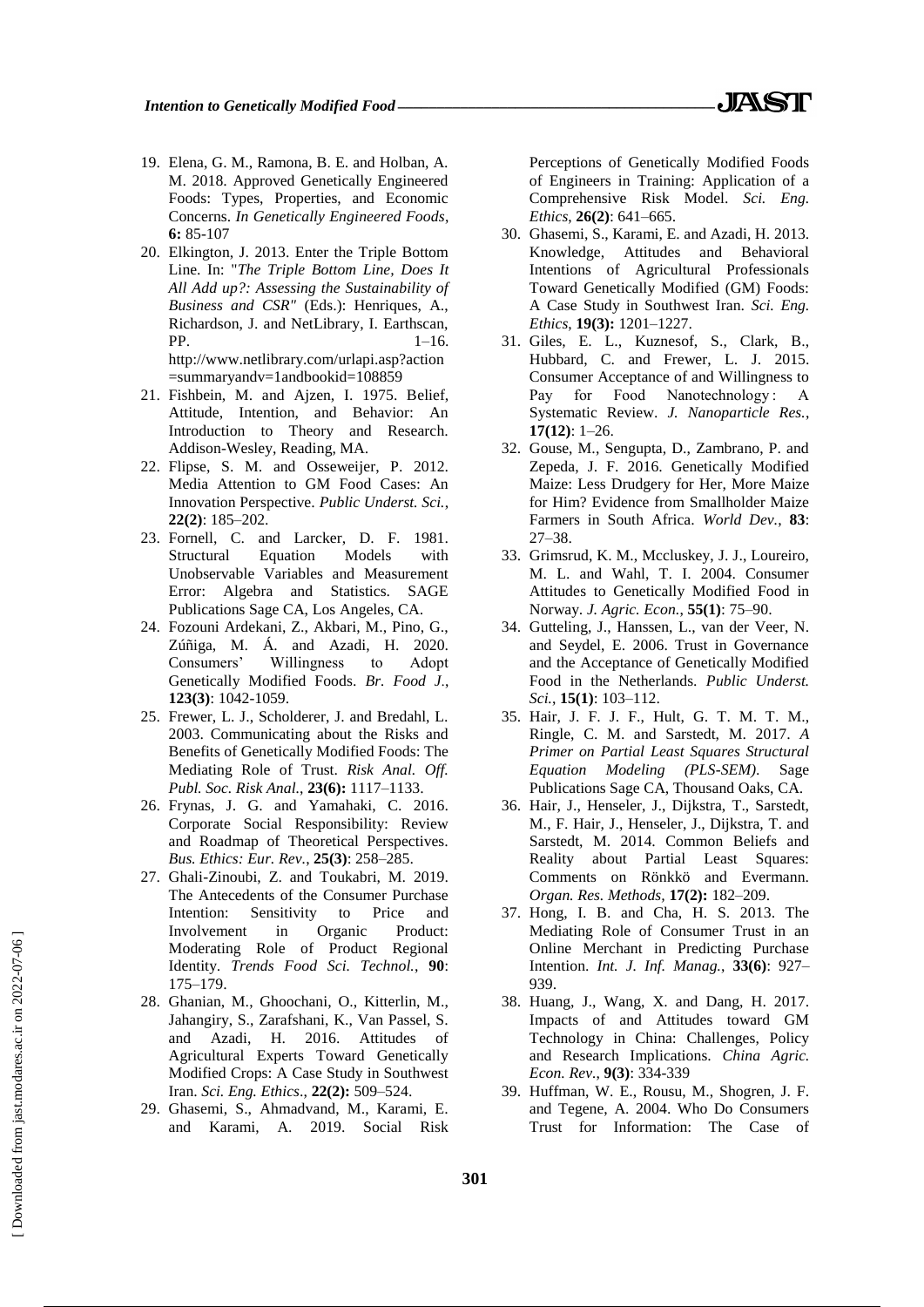- 19. Elena, G. M., Ramona, B. E. and Holban, A. M. 2018. Approved Genetically Engineered Foods: Types, Properties, and Economic Concerns. *In Genetically Engineered Foods*, **6:** 85-107
- 20. Elkington, J. 2013. Enter the Triple Bottom Line. In: "*The Triple Bottom Line, Does It All Add up?: Assessing the Sustainability of Business and CSR"* (Eds.): Henriques, A., Richardson, J. and NetLibrary, I. Earthscan,  $PP.$  1–16. http://www.netlibrary.com/urlapi.asp?action =summaryandv=1andbookid=108859
- 21. Fishbein, M. and Ajzen, I. 1975. Belief, Attitude, Intention, and Behavior: An Introduction to Theory and Research. Addison-Wesley, Reading, MA.
- 22. Flipse, S. M. and Osseweijer, P. 2012. Media Attention to GM Food Cases: An Innovation Perspective. *Public Underst. Sci.*, **22(2)**: 185–202.
- 23. Fornell, C. and Larcker, D. F. 1981. Structural Equation Models with Unobservable Variables and Measurement Error: Algebra and Statistics. SAGE Publications Sage CA, Los Angeles, CA.
- 24. Fozouni Ardekani, Z., Akbari, M., Pino, G., Zúñiga, M. Á. and Azadi, H. 2020. Consumers' Willingness to Adopt Genetically Modified Foods. *[Br. Food J](https://www.emerald.com/insight/publication/issn/0007-070X).*, **123(3)**: 1042-1059.
- 25. Frewer, L. J., Scholderer, J. and Bredahl, L. 2003. Communicating about the Risks and Benefits of Genetically Modified Foods: The Mediating Role of Trust. *Risk Anal. Off. Publ. Soc. Risk Anal.*, **23(6):** 1117–1133.
- 26. Frynas, J. G. and Yamahaki, C. 2016. Corporate Social Responsibility: Review and Roadmap of Theoretical Perspectives. *Bus. Ethics: Eur. Rev.*, **25(3)**: 258–285.
- 27. Ghali-Zinoubi, Z. and Toukabri, M. 2019. The Antecedents of the Consumer Purchase Intention: Sensitivity to Price and Involvement in Organic Product: Moderating Role of Product Regional Identity. *Trends Food Sci. Technol.*, **90**: 175–179.
- 28. Ghanian, M., Ghoochani, O., Kitterlin, M., Jahangiry, S., Zarafshani, K., Van Passel, S. and Azadi, H. 2016. Attitudes of Agricultural Experts Toward Genetically Modified Crops: A Case Study in Southwest Iran. *Sci. Eng. Ethics*., **22(2):** 509–524.
- 29. Ghasemi, S., Ahmadvand, M., Karami, E. and Karami, A. 2019. Social Risk

Perceptions of Genetically Modified Foods of Engineers in Training: Application of a Comprehensive Risk Model. *Sci. Eng. Ethics*, **26(2)**: 641–665.

- 30. Ghasemi, S., Karami, E. and Azadi, H. 2013. Knowledge, Attitudes and Behavioral Intentions of Agricultural Professionals Toward Genetically Modified (GM) Foods: A Case Study in Southwest Iran. *Sci. Eng. Ethics*, **19(3):** 1201–1227.
- 31. Giles, E. L., Kuznesof, S., Clark, B., Hubbard, C. and Frewer, L. J. 2015. Consumer Acceptance of and Willingness to Pay for Food Nanotechnology: A Systematic Review. *J. Nanoparticle Res.*, **17(12)**: 1–26.
- 32. Gouse, M., Sengupta, D., Zambrano, P. and Zepeda, J. F. 2016. Genetically Modified Maize: Less Drudgery for Her, More Maize for Him? Evidence from Smallholder Maize Farmers in South Africa. *World Dev.*, **83**: 27–38.
- 33. Grimsrud, K. M., Mccluskey, J. J., Loureiro, M. L. and Wahl, T. I. 2004. Consumer Attitudes to Genetically Modified Food in Norway. *J. Agric. Econ.*, **55(1)**: 75–90.
- 34. Gutteling, J., Hanssen, L., van der Veer, N. and Seydel, E. 2006. Trust in Governance and the Acceptance of Genetically Modified Food in the Netherlands. *Public Underst. Sci.*, **15(1)**: 103–112.
- 35. Hair, J. F. J. F., Hult, G. T. M. T. M., Ringle, C. M. and Sarstedt, M. 2017. *A Primer on Partial Least Squares Structural Equation Modeling (PLS-SEM)*. Sage Publications Sage CA, Thousand Oaks, CA.
- 36. Hair, J., Henseler, J., Dijkstra, T., Sarstedt, M., F. Hair, J., Henseler, J., Dijkstra, T. and Sarstedt, M. 2014. Common Beliefs and Reality about Partial Least Squares: Comments on Rönkkö and Evermann. *Organ. Res. Methods,* **17(2):** 182–209.
- 37. Hong, I. B. and Cha, H. S. 2013. The Mediating Role of Consumer Trust in an Online Merchant in Predicting Purchase Intention. *Int. J. Inf. Manag.*, **33(6)**: 927– 939.
- 38. Huang, J., Wang, X. and Dang, H. 2017. Impacts of and Attitudes toward GM Technology in China: Challenges, Policy and Research Implications. *China Agric. Econ. Rev.*, **9(3)**: 334-339
- 39. Huffman, W. E., Rousu, M., Shogren, J. F. and Tegene, A. 2004. Who Do Consumers Trust for Information: The Case of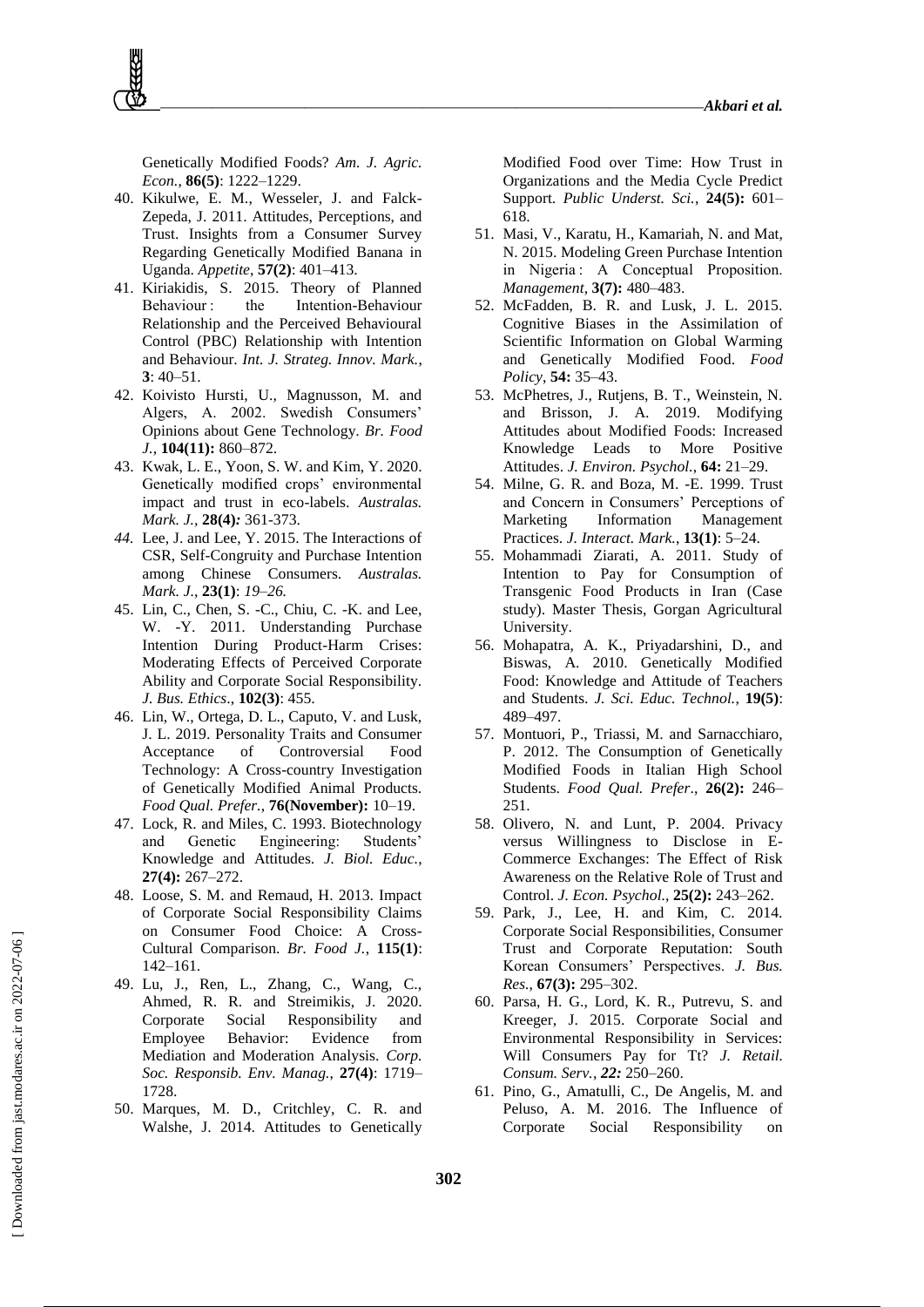Genetically Modified Foods? *Am. J. Agric. Econ.*, **86(5)**: 1222–1229.

- 40. Kikulwe, E. M., Wesseler, J. and Falck-Zepeda, J. 2011. Attitudes, Perceptions, and Trust. Insights from a Consumer Survey Regarding Genetically Modified Banana in Uganda. *Appetite*, **57(2)**: 401–413.
- 41. Kiriakidis, S. 2015. Theory of Planned Behaviour : the Intention-Behaviour Relationship and the Perceived Behavioural Control (PBC) Relationship with Intention and Behaviour. *Int. J. Strateg. Innov. Mark.*, **3**: 40–51.
- 42. Koivisto Hursti, U., Magnusson, M. and Algers, A. 2002. Swedish Consumers' Opinions about Gene Technology. *Br. Food J.*, **104(11):** 860–872.
- 43. Kwak, L. E., Yoon, S. W. and Kim, Y. 2020. Genetically modified crops' environmental impact and trust in eco-labels. *Australas. Mark. J.,* **28(4)***:* 361-373.
- *44.* Lee, J. and Lee, Y. 2015. The Interactions of CSR, Self-Congruity and Purchase Intention among Chinese Consumers. *Australas. Mark. J.*, **23(1)**: *19–26.*
- 45. Lin, C., Chen, S. -C., Chiu, C. -K. and Lee, W. -Y. 2011. Understanding Purchase Intention During Product-Harm Crises: Moderating Effects of Perceived Corporate Ability and Corporate Social Responsibility. *J. Bus. Ethics*., **102(3)**: 455.
- 46. Lin, W., Ortega, D. L., Caputo, V. and Lusk, J. L. 2019. Personality Traits and Consumer Acceptance of Controversial Food Technology: A Cross-country Investigation of Genetically Modified Animal Products. *Food Qual. Prefer.,* **76(November):** 10–19.
- 47. Lock, R. and Miles, C. 1993. Biotechnology and Genetic Engineering: Students' Knowledge and Attitudes. *J. Biol. Educ.*, **27(4):** 267–272.
- 48. Loose, S. M. and Remaud, H. 2013. Impact of Corporate Social Responsibility Claims on Consumer Food Choice: A Cross-Cultural Comparison. *Br. Food J.*, **115(1)**: 142–161.
- 49. Lu, J., Ren, L., Zhang, C., Wang, C., Ahmed, R. R. and Streimikis, J. 2020. Corporate Social Responsibility and Employee Behavior: Evidence from Mediation and Moderation Analysis. *Corp. Soc. Responsib. Env. Manag.*, **27(4)**: 1719– 1728.
- 50. Marques, M. D., Critchley, C. R. and Walshe, J. 2014. Attitudes to Genetically

Modified Food over Time: How Trust in Organizations and the Media Cycle Predict Support. *Public Underst. Sci.*, **24(5):** 601– 618.

- 51. Masi, V., Karatu, H., Kamariah, N. and Mat, N. 2015. Modeling Green Purchase Intention in Nigeria : A Conceptual Proposition. *Management*, **3(7):** 480–483.
- 52. McFadden, B. R. and Lusk, J. L. 2015. Cognitive Biases in the Assimilation of Scientific Information on Global Warming and Genetically Modified Food. *Food Policy*, **54:** 35–43.
- 53. McPhetres, J., Rutjens, B. T., Weinstein, N. and Brisson, J. A. 2019. Modifying Attitudes about Modified Foods: Increased Knowledge Leads to More Positive Attitudes. *J. Environ. Psychol.*, **64:** 21–29.
- 54. Milne, G. R. and Boza, M. -E. 1999. Trust and Concern in Consumers' Perceptions of Marketing Information Management Practices. *J. Interact. Mark.*, **13(1)**: 5–24.
- 55. Mohammadi Ziarati, A. 2011. Study of Intention to Pay for Consumption of Transgenic Food Products in Iran (Case study). Master Thesis, Gorgan Agricultural University.
- 56. Mohapatra, A. K., Priyadarshini, D., and Biswas, A. 2010. Genetically Modified Food: Knowledge and Attitude of Teachers and Students. *J. Sci. Educ. Technol.*, **19(5)**: 489–497.
- 57. Montuori, P., Triassi, M. and Sarnacchiaro, P. 2012. The Consumption of Genetically Modified Foods in Italian High School Students. *Food Qual. Prefer*., **26(2):** 246– 251.
- 58. Olivero, N. and Lunt, P. 2004. Privacy versus Willingness to Disclose in E-Commerce Exchanges: The Effect of Risk Awareness on the Relative Role of Trust and Control. *J. Econ. Psychol.*, **25(2):** 243–262.
- 59. Park, J., Lee, H. and Kim, C. 2014. Corporate Social Responsibilities, Consumer Trust and Corporate Reputation: South Korean Consumers' Perspectives. *J. Bus. Res.*, **67(3):** 295–302.
- 60. Parsa, H. G., Lord, K. R., Putrevu, S. and Kreeger, J. 2015. Corporate Social and Environmental Responsibility in Services: Will Consumers Pay for Tt? *J. Retail. Consum. Serv.*, *22:* 250–260.
- 61. Pino, G., Amatulli, C., De Angelis, M. and Peluso, A. M. 2016. The Influence of Corporate Social Responsibility on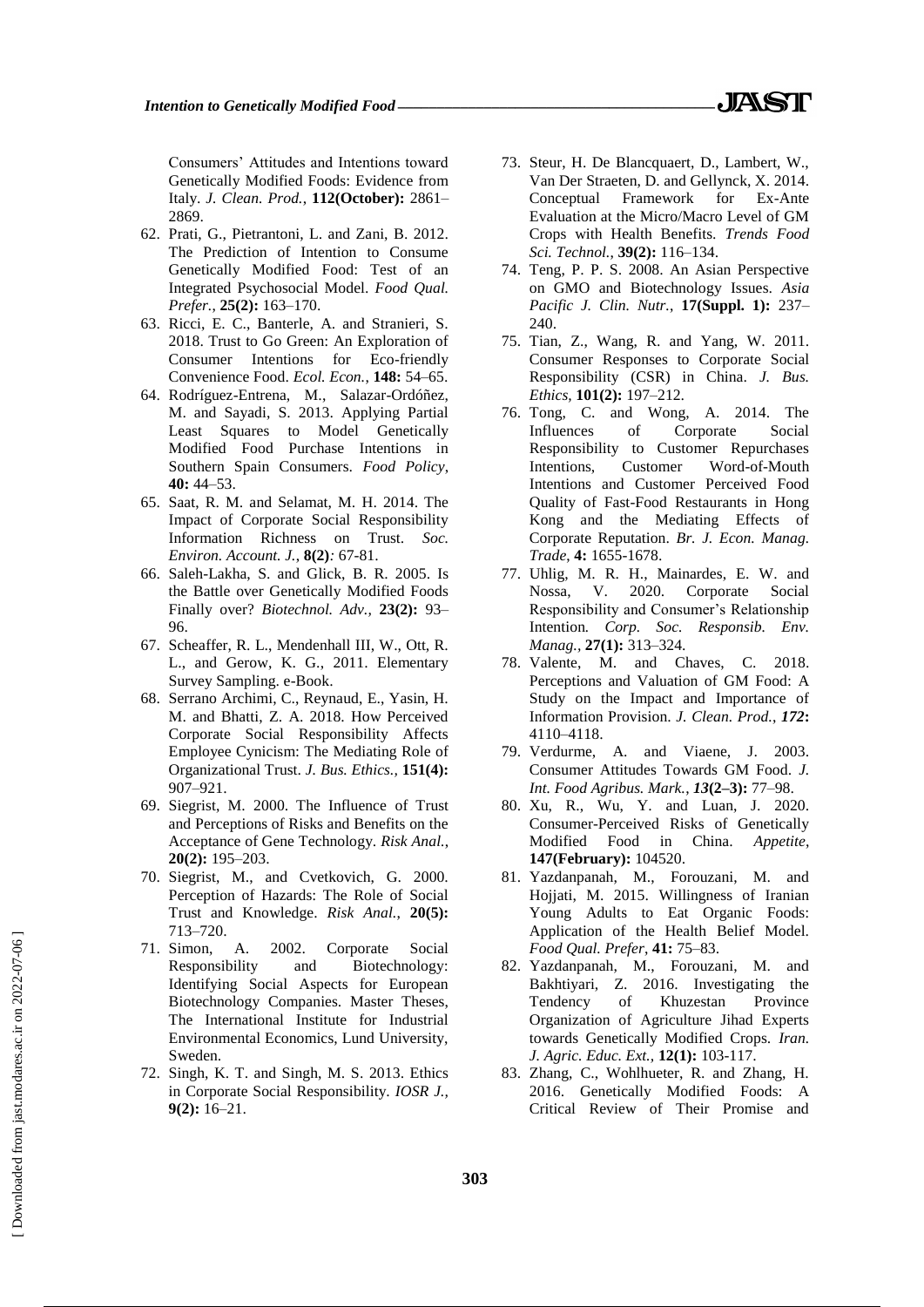Consumers' Attitudes and Intentions toward Genetically Modified Foods: Evidence from Italy. *J. Clean. Prod.*, **112(October):** 2861– 2869.

- 62. Prati, G., Pietrantoni, L. and Zani, B. 2012. The Prediction of Intention to Consume Genetically Modified Food: Test of an Integrated Psychosocial Model. *Food Qual. Prefer.*, **25(2):** 163–170.
- 63. Ricci, E. C., Banterle, A. and Stranieri, S. 2018. Trust to Go Green: An Exploration of Consumer Intentions for Eco-friendly Convenience Food. *Ecol. Econ.*, **148:** 54–65.
- 64. Rodríguez-Entrena, M., Salazar-Ordóñez, M. and Sayadi, S. 2013. Applying Partial Least Squares to Model Genetically Modified Food Purchase Intentions in Southern Spain Consumers. *Food Policy*, **40:** 44–53.
- 65. Saat, R. M. and Selamat, M. H. 2014. The Impact of Corporate Social Responsibility Information Richness on Trust. *Soc. Environ. Account. J.*, **8(2)***:* 67-81.
- 66. Saleh-Lakha, S. and Glick, B. R. 2005. Is the Battle over Genetically Modified Foods Finally over? *Biotechnol. Adv.,* **23(2):** 93– 96.
- 67. Scheaffer, R. L., Mendenhall III, W., Ott, R. L., and Gerow, K. G., 2011. Elementary Survey Sampling. e-Book.
- 68. Serrano Archimi, C., Reynaud, E., Yasin, H. M. and Bhatti, Z. A. 2018. How Perceived Corporate Social Responsibility Affects Employee Cynicism: The Mediating Role of Organizational Trust. *J. Bus. Ethics.,* **151(4):** 907–921.
- 69. Siegrist, M. 2000. The Influence of Trust and Perceptions of Risks and Benefits on the Acceptance of Gene Technology. *Risk Anal.*, **20(2):** 195–203.
- 70. Siegrist, M., and Cvetkovich, G. 2000. Perception of Hazards: The Role of Social Trust and Knowledge. *Risk Anal.*, **20(5):** 713–720.
- 71. Simon, A. 2002. Corporate Social Responsibility and Biotechnology: Identifying Social Aspects for European Biotechnology Companies. Master Theses, The International Institute for Industrial Environmental Economics, Lund University, Sweden.
- 72. Singh, K. T. and Singh, M. S. 2013. Ethics in Corporate Social Responsibility. *IOSR J.,* **9(2):** 16–21.
- 73. Steur, H. De Blancquaert, D., Lambert, W., Van Der Straeten, D. and Gellynck, X. 2014. Conceptual Framework for Ex-Ante Evaluation at the Micro/Macro Level of GM Crops with Health Benefits. *Trends Food Sci. Technol.*, **39(2):** 116–134.
- 74. Teng, P. P. S. 2008. An Asian Perspective on GMO and Biotechnology Issues. *Asia Pacific J. Clin. Nutr.*, **17(Suppl. 1):** 237– 240.
- 75. Tian, Z., Wang, R. and Yang, W. 2011. Consumer Responses to Corporate Social Responsibility (CSR) in China. *J. Bus. Ethics,* **101(2):** 197–212.
- 76. Tong, C. and Wong, A. 2014. The Influences of Corporate Social Responsibility to Customer Repurchases Intentions, Customer Word-of-Mouth Intentions and Customer Perceived Food Quality of Fast-Food Restaurants in Hong Kong and the Mediating Effects of Corporate Reputation. *Br. J. Econ. Manag. Trade*, **4:** 1655-1678.
- 77. Uhlig, M. R. H., Mainardes, E. W. and Nossa, V. 2020. Corporate Social Responsibility and Consumer's Relationship Intention*. Corp. Soc. Responsib. Env. Manag.,* **27(1):** 313–324.
- 78. Valente, M. and Chaves, C. 2018. Perceptions and Valuation of GM Food: A Study on the Impact and Importance of Information Provision. *J. Clean. Prod.*, *172***:**  4110–4118.
- 79. Verdurme, A. and Viaene, J. 2003. Consumer Attitudes Towards GM Food. *J. Int. Food Agribus. Mark.*, *13***(2–3):** 77–98.
- 80. Xu, R., Wu, Y. and Luan, J. 2020. Consumer-Perceived Risks of Genetically Modified Food in China. *Appetite*, **147(February):** 104520.
- 81. Yazdanpanah, M., Forouzani, M. and Hojjati, M. 2015. Willingness of Iranian Young Adults to Eat Organic Foods: Application of the Health Belief Model. *Food Qual. Prefer*, **41:** 75–83.
- 82. Yazdanpanah, M., Forouzani, M. and Bakhtiyari, Z. 2016. Investigating the Tendency of Khuzestan Province Organization of Agriculture Jihad Experts towards Genetically Modified Crops. *Iran. J. Agric. Educ. Ext.,* **12(1):** 103-117.
- 83. Zhang, C., Wohlhueter, R. and Zhang, H. 2016. Genetically Modified Foods: A Critical Review of Their Promise and